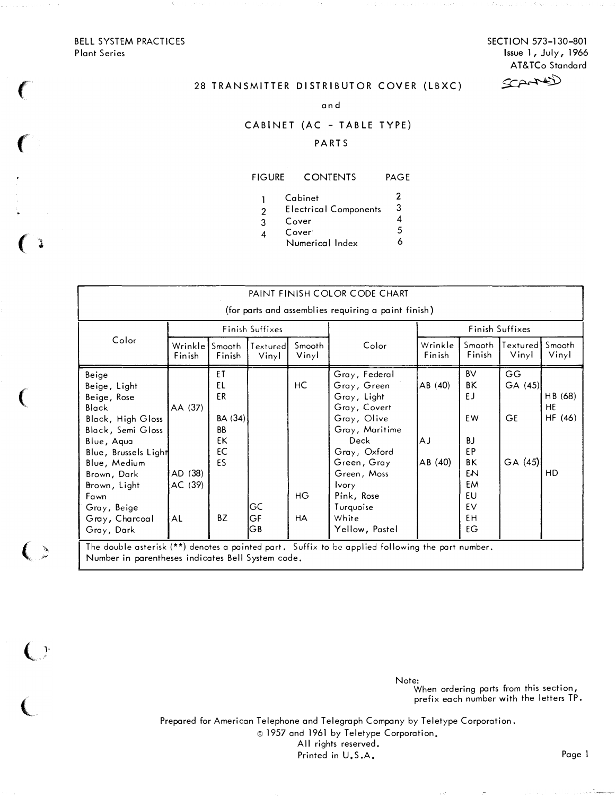BELL SYSTEM PRACTICES Plant Series

 $\left($ 

 $\big($ 

 $\frac{1}{4}$ 

 $\big($ 

 $\zeta >$ 

 $\bigcup$ 

 $\overline{\mathbb{C}}$ 

SECTION 573-130-801 Issue 1, July, 1966 Cerres AT&TCo Standard

# 28 TRANSMITTER DISTRIBUTOR COVER (LBXC)

a nd

### CABINET (AC - TABLE TYPE)

#### PA RTS

# FIGURE CONTENTS PAGE

|   | Cabinet                      |  |
|---|------------------------------|--|
| 2 | <b>Electrical Components</b> |  |
| 3 | Cover                        |  |
|   |                              |  |

4 Cover<sup>-</sup> 5<br>Numerical Index 6 Numerical Index <sup>6</sup>

| PAINT FINISH COLOR CODE CHART                                                                                                                                                                                                       |                                     |                                                                      |                   |                       |                                                                                                                                                                                                                          |                                 |                                                                                     |                                       |                                       |
|-------------------------------------------------------------------------------------------------------------------------------------------------------------------------------------------------------------------------------------|-------------------------------------|----------------------------------------------------------------------|-------------------|-----------------------|--------------------------------------------------------------------------------------------------------------------------------------------------------------------------------------------------------------------------|---------------------------------|-------------------------------------------------------------------------------------|---------------------------------------|---------------------------------------|
| (for parts and assemblies requiring a paint finish)<br>Finish Suffixes<br>Finish Suffixes                                                                                                                                           |                                     |                                                                      |                   |                       |                                                                                                                                                                                                                          |                                 |                                                                                     |                                       |                                       |
| Color                                                                                                                                                                                                                               | Wrinkle<br>Finish                   | Smooth<br>Finish                                                     | Textured<br>Vinyl | Smooth<br>Vinyl       | Color                                                                                                                                                                                                                    | Wrinkle<br>Finish               | Smooth<br>Finish                                                                    | Textured<br>Vinyl                     | Smooth<br>Vinyl                       |
| Beige<br>Beige, Light<br>Beige, Rose<br>Black<br>Black, High Gloss<br>Black, Semi Gloss<br>Blue, Aqua<br>Blue, Brussels Light<br>Blue, Medium<br>Brown, Dark<br>Brown, Light<br>Fawn<br>Gray, Beige<br>Gray, Charcoal<br>Gray, Dark | AA (37)<br>AD (38)<br>AC (39)<br>AL | ET<br>EL<br>ER<br>BA(34)<br><b>BB</b><br>EK<br>EC<br>ES<br><b>BZ</b> | GC<br>GF<br>GВ    | HC<br>HG<br><b>HA</b> | Gray, Federal<br>Gray, Green<br>Gray, Light<br>Gray, Covert<br>Gray, Olive<br>Gray, Maritime<br>Deck<br>Gray, Oxford<br>Green, Gray<br>Green, Moss<br><b>Ivory</b><br>Pink, Rose<br>Turquoise<br>White<br>Yellow, Pastel | AB (40)<br><b>AJ</b><br>AB (40) | <b>BV</b><br>ΒK<br>EJ.<br>EW<br>BJ.<br>EP<br>ΒK<br>EN<br>EM<br>EU<br>EV<br>EH<br>EG | GG.<br>GA(45)<br><b>GE</b><br>GA (45) | HB (68)<br><b>HE</b><br>HF (46)<br>HD |

Note: When ordering parts from this section, prefix each number with the letters IP.

Prepared for American Telephone and Telegraph Company by Teletype Corporation. © 1957 and 1961 by Teletype Corporation, All rights reserved. Printed in U.S.A. Page 1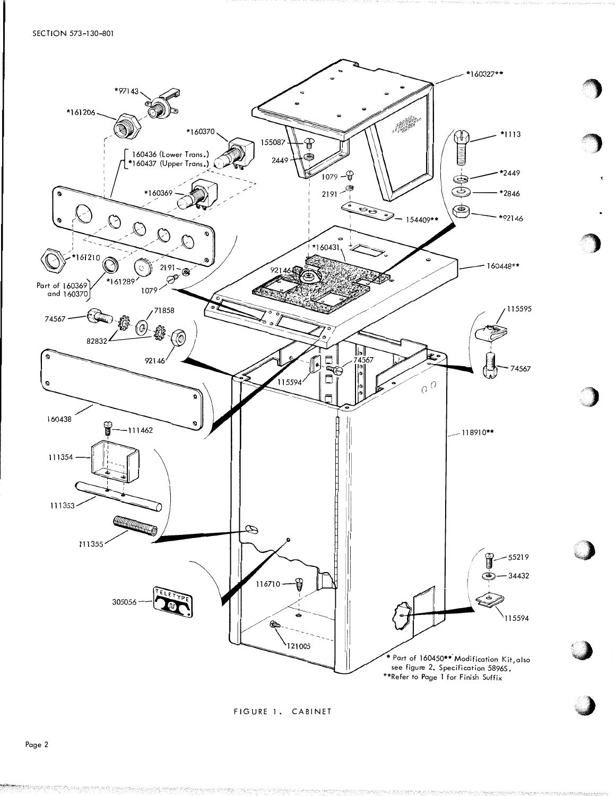SECTION 573-130-801



FIGURE 1. CABINET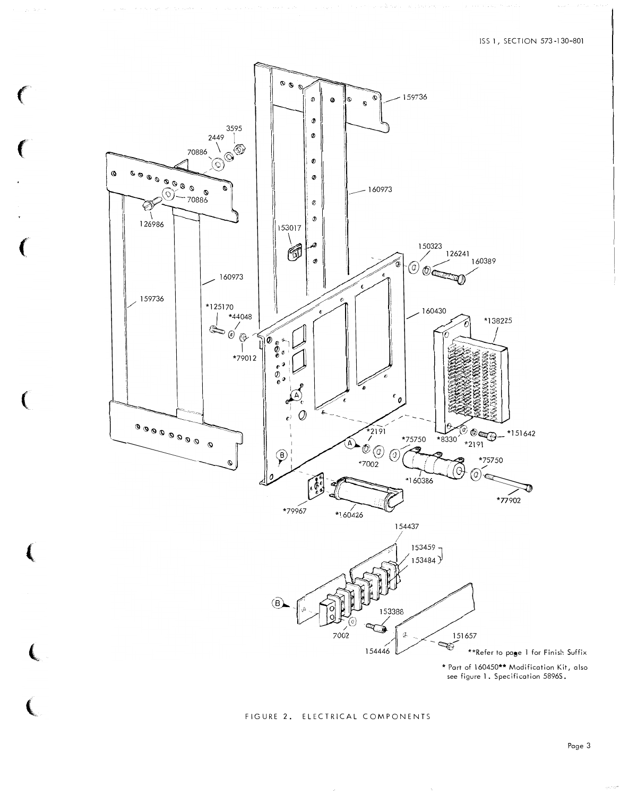

 $\big($ 

FIGURE 2. ELECTRICAL COMPONENTS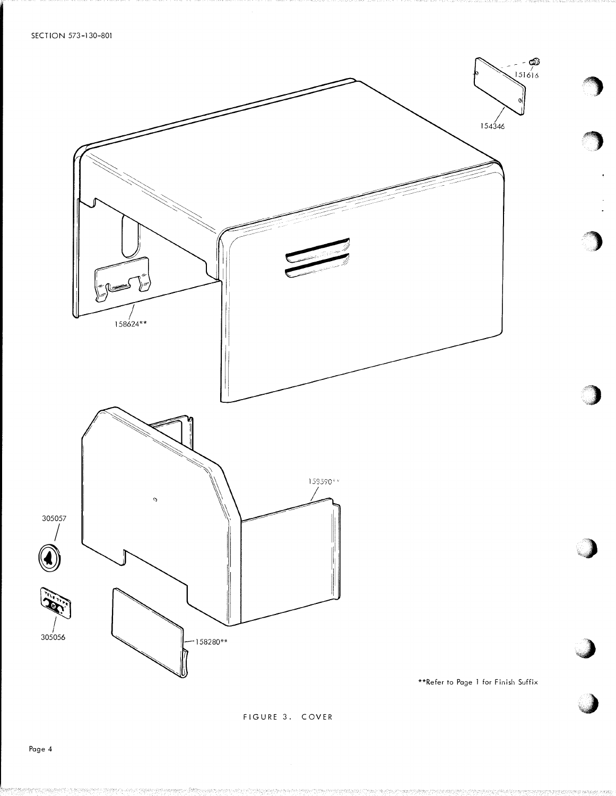SECTION 573-130-801



FIGURE 3. COVER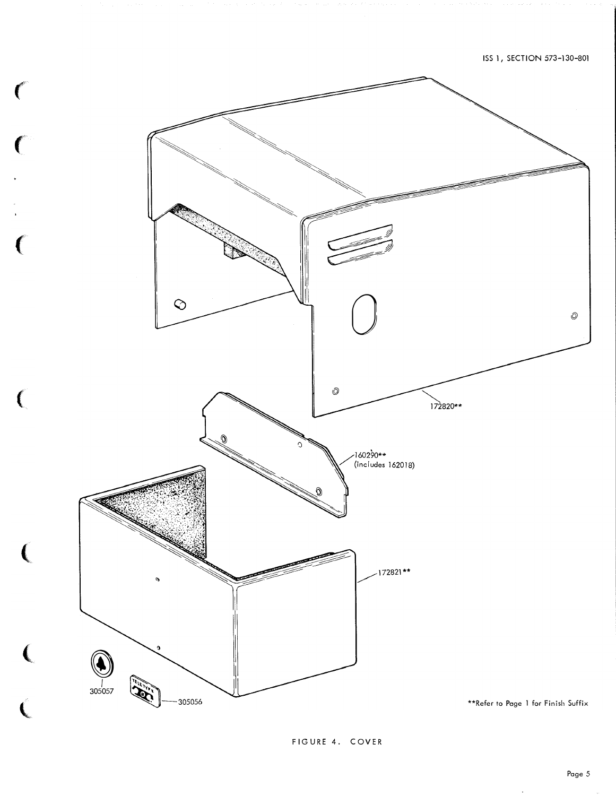

 $\big($ 

FIGURE 4. COVER